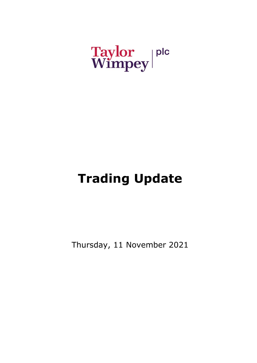# Taylor plc<br>Wimpey

## **Trading Update**

Thursday, 11 November 2021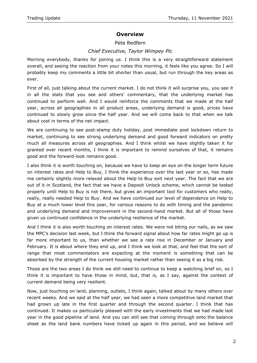### **Overview**

#### Pete Redfern

#### *Chief Executive, Taylor Wimpey Plc*

Morning everybody, thanks for joining us. I think this is a very straightforward statement overall, and seeing the reaction from your notes this morning, it feels like you agree. So I will probably keep my comments a little bit shorter than usual, but run through the key areas as ever.

First of all, just talking about the current market. I do not think it will surprise you, you see it in all the stats that you see and others' commentary, that the underlying market has continued to perform well. And I would reinforce the comments that we made at the half year, across all geographies in all product areas, underlying demand is good, prices have continued to slowly grow since the half year. And we will come back to that when we talk about cost in terms of the net impact.

We are continuing to see post-stamp duty holiday, post immediate post lockdown return to market, continuing to see strong underlying demand and good forward indicators on pretty much all measures across all geographies. And I think whilst we have slightly taken it for granted over recent months, I think it is important to remind ourselves of that, it remains good and the forward-look remains good.

I also think it is worth touching on, because we have to keep an eye on the longer term future on interest rates and Help to Buy, I think the experience over the last year or so, has made me certainly slightly more relaxed about the Help to Buy exit next year. The fact that we are out of it in Scotland, the fact that we have a Deposit Unlock scheme, which cannot be tested properly until Help to Buy is not there, but gives an important tool for customers who really, really, really needed Help to Buy. And we have continued our level of dependence on Help to Buy at a much lower level this year, for various reasons to do with timing and the pandemic and underlying demand and improvement in the second-hand market. But all of those have given us continued confidence in the underlying resilience of the market.

And I think it is also worth touching on interest rates. We were not biting our nails, as we saw the MPC's decision last week, but I think the forward signal about how far rates might go up is far more important to us, than whether we see a rate rise in December or January and February. It is about where they end up, and I think we look at that, and feel that the sort of range that most commentators are expecting at the moment is something that can be absorbed by the strength of the current housing market rather than seeing it as a big risk.

Those are the two areas I do think we still need to continue to keep a watching brief on, so I think it is important to have those in mind, but, that is, as I say, against the context of current demand being very resilient.

Now, just touching on land, planning, outlets, I think again, talked about by many others over recent weeks. And we said at the half year, we had seen a more competitive land market that had grown up late in the first quarter and through the second quarter. I think that has continued. It makes us particularly pleased with the early investments that we had made last year in the good pipeline of land. And you can still see that coming through onto the balance sheet as the land bank numbers have ticked up again in this period, and we believe will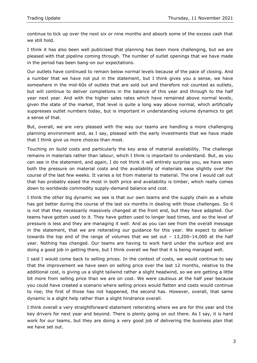continue to tick up over the next six or nine months and absorb some of the excess cash that we still hold.

I think it has also been well publicised that planning has been more challenging, but we are pleased with that pipeline coming through. The number of outlet openings that we have made in the period has been bang-on our expectations.

Our outlets have continued to remain below normal levels because of the pace of closing. And a number that we have not put in the statement, but I think gives you a sense, we have somewhere in the mid-60s of outlets that are sold out and therefore not counted as outlets, but will continue to deliver completions in the balance of this year and through to the half year next year. And with the higher sales rates which have remained above normal levels, given the state of the market, that level is quite a long way above normal, which artificially suppresses outlet numbers today, but is important in understanding volume dynamics to get a sense of that.

But, overall, we are very pleased with the way our teams are handling a more challenging planning environment and, as I say, pleased with the early investments that we have made that I think give us more choices than most.

Touching on build costs and particularly the key area of material availability. The challenge remains in materials rather than labour, which I think is important to understand. But, as you can see in the statement, and again, I do not think it will entirely surprise you, we have seen both the pressure on material costs and the availability of materials ease slightly over the course of the last few weeks. It varies a lot from material to material. The one I would call out that has probably eased the most in both price and availability is timber, which really comes down to worldwide commodity supply-demand balance and cost.

I think the other big dynamic we see is that our own teams and the supply chain as a whole has got better during the course of the last six months in dealing with those challenges. So it is not that they necessarily massively changed at the front end, but they have adapted. Our teams have gotten used to it. They have gotten used to longer lead times, and so the level of pressure is less and they are managing it well. And as you can see from the overall message in the statement, that we are reiterating our guidance for this year. We expect to deliver towards the top end of the range of volumes that we set out – 13,200–14,000 at the half year. Nothing has changed. Our teams are having to work hard under the surface and are doing a good job in getting there, but I think overall we feel that it is being managed well.

I said I would come back to selling prices. In the context of costs, we would continue to say that the improvement we have seen on selling price over the last 12 months, relative to the additional cost, is giving us a slight tailwind rather a slight headwind, so we are getting a little bit more from selling price than we are on cost. We were cautious at the half year because you could have created a scenario where selling prices would flatten and costs would continue to rise; the first of those has not happened, the second has. However, overall, that same dynamic is a slight help rather than a slight hindrance overall.

I think overall a very straightforward statement reiterating where we are for this year and the key drivers for next year and beyond. There is plenty going on out there. As I say, it is hard work for our teams, but they are doing a very good job of delivering the business plan that we have set out.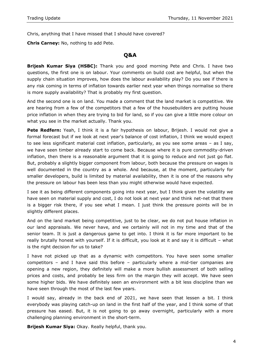Chris, anything that I have missed that I should have covered?

**Chris Carney:** No, nothing to add Pete.

#### **Q&A**

**Brijesh Kumar Siya (HSBC):** Thank you and good morning Pete and Chris. I have two questions, the first one is on labour. Your comments on build cost are helpful, but when the supply chain situation improves, how does the labour availability play? Do you see if there is any risk coming in terms of inflation towards earlier next year when things normalise so there is more supply availability? That is probably my first question.

And the second one is on land. You made a comment that the land market is competitive. We are hearing from a few of the competitors that a few of the housebuilders are putting house price inflation in when they are trying to bid for land, so if you can give a little more colour on what you see in the market actually. Thank you.

**Pete Redfern:** Yeah, I think it is a fair hypothesis on labour, Brijesh. I would not give a formal forecast but if we look at next year's balance of cost inflation, I think we would expect to see less significant material cost inflation, particularly, as you see some areas – as I say, we have seen timber already start to come back. Because where it is pure commodity-driven inflation, then there is a reasonable argument that it is going to reduce and not just go flat. But, probably a slightly bigger component from labour, both because the pressure on wages is well documented in the country as a whole. And because, at the moment, particularly for smaller developers, build is limited by material availability, then it is one of the reasons why the pressure on labour has been less than you might otherwise would have expected.

I see it as being different components going into next year, but I think given the volatility we have seen on material supply and cost, I do not look at next year and think net-net that there is a bigger risk there, if you see what I mean. I just think the pressure points will be in slightly different places.

And on the land market being competitive, just to be clear, we do not put house inflation in our land appraisals. We never have, and we certainly will not in my time and that of the senior team. It is just a dangerous game to get into. I think it is far more important to be really brutally honest with yourself. If it is difficult, you look at it and say it is difficult – what is the right decision for us to take?

I have not picked up that as a dynamic with competitors. You have seen some smaller competitors – and I have said this before – particularly where a mid-tier companies are opening a new region, they definitely will make a more bullish assessment of both selling prices and costs, and probably be less firm on the margin they will accept. We have seen some higher bids. We have definitely seen an environment with a bit less discipline than we have seen through the most of the last few years.

I would say, already in the back end of 2021, we have seen that lessen a bit. I think everybody was playing catch-up on land in the first half of the year, and I think some of that pressure has eased. But, it is not going to go away overnight, particularly with a more challenging planning environment in the short-term.

**Brijesh Kumar Siya:** Okay. Really helpful, thank you.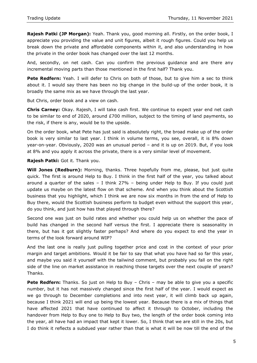**Rajesh Patki (JP Morgan):** Yeah. Thank you, good morning all. Firstly, on the order book, I appreciate you providing the value and unit figures, albeit it rough figures. Could you help us break down the private and affordable components within it, and also understanding in how the private in the order book has changed over the last 12 months.

And, secondly, on net cash. Can you confirm the previous guidance and are there any incremental moving parts than those mentioned in the first half? Thank you.

**Pete Redfern:** Yeah. I will defer to Chris on both of those, but to give him a sec to think about it. I would say there has been no big change in the build-up of the order book, it is broadly the same mix as we have through the last year.

But Chris, order book and a view on cash.

**Chris Carney:** Okay. Rajesh, I will take cash first. We continue to expect year end net cash to be similar to end of 2020, around £700 million, subject to the timing of land payments, so the risk, if there is any, would be to the upside.

On the order book, what Pete has just said is absolutely right, the broad make up of the order book is very similar to last year. I think in volume terms, you see, overall, it is 8% down year-on-year. Obviously, 2020 was an unusual period – and it is up on 2019. But, if you look at 8% and you apply it across the private, there is a very similar level of movement.

**Rajesh Patki:** Got it. Thank you.

**Will Jones (Redburn):** Morning, thanks. Three hopefully from me, please, but just quite quick. The first is around Help to Buy. I think in the first half of the year, you talked about around a quarter of the sales  $-1$  think 27% – being under Help to Buy. If you could just update us maybe on the latest flow on that scheme. And when you think about the Scottish business that you highlight, which I think we are now six months in from the end of Help to Buy there, would the Scottish business perform to budget even without the support this year, do you think, and just how has that played through there?

Second one was just on build rates and whether you could help us on whether the pace of build has changed in the second half versus the first. I appreciate there is seasonality in there, but has it got slightly faster perhaps? And where do you expect to end the year in terms of the look forward around WIP?

And the last one is really just pulling together price and cost in the context of your prior margin and target ambitions. Would it be fair to say that what you have had so far this year, and maybe you said it yourself with the tailwind comment, but probably you fall on the right side of the line on market assistance in reaching those targets over the next couple of years? Thanks.

**Pete Redfern:** Thanks. So just on Help to Buy - Chris - may be able to give you a specific number, but it has not massively changed since the first half of the year. I would expect as we go through to December completions and into next year, it will climb back up again, because I think 2021 will end up being the lowest year. Because there is a mix of things that have affected 2021 that have continued to affect it through to October, including the handover from Help to Buy one to Help to Buy two, the length of the order book coming into the year, all have had an impact that kept it lower. So, I think that we are still in the 20s, but I do think it reflects a subdued year rather than that is what it will be now till the end of the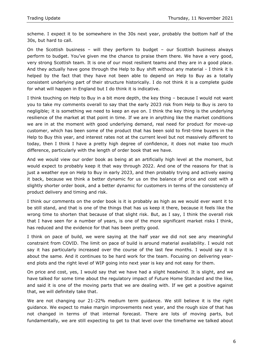scheme. I expect it to be somewhere in the 30s next year, probably the bottom half of the 30s, but hard to call.

On the Scottish business – will they perform to budget – our Scottish business always perform to budget. You've given me the chance to praise them there. We have a very good, very strong Scottish team. It is one of our most resilient teams and they are in a good place. And they actually have gone through the Help to Buy shift without any material - I think it is helped by the fact that they have not been able to depend on Help to Buy as a totally consistent underlying part of their structure historically. I do not think it is a complete guide for what will happen in England but I do think it is indicative.

I think touching on Help to Buy in a bit more depth, the key thing – because I would not want you to take my comments overall to say that the early 2023 risk from Help to Buy is zero to negligible; it is something we need to keep an eye on. I think the key thing is the underlying resilience of the market at that point in time. If we are in anything like the market conditions we are in at the moment with good underlying demand, real need for product for move-up customer, which has been some of the product that has been sold to first-time buyers in the Help to Buy this year, and interest rates not at the current level but not massively different to today, then I think I have a pretty high degree of confidence, it does not make too much difference, particularly with the length of order book that we have.

And we would view our order book as being at an artificially high level at the moment, but would expect to probably keep it that way through 2022. And one of the reasons for that is just a weather eye on Help to Buy in early 2023, and then probably trying and actively easing it back, because we think a better dynamic for us on the balance of price and cost with a slightly shorter order book, and a better dynamic for customers in terms of the consistency of product delivery and timing and risk.

I think our comments on the order book is it is probably as high as we would ever want it to be still stand, and that is one of the things that has us keep it there, because it feels like the wrong time to shorten that because of that slight risk. But, as I say, I think the overall risk that I have seen for a number of years, is one of the more significant market risks I think, has reduced and the evidence for that has been pretty good.

I think on pace of build, we were saying at the half year we did not see any meaningful constraint from COVID. The limit on pace of build is around material availability. I would not say it has particularly increased over the course of the last few months. I would say it is about the same. And it continues to be hard work for the team. Focusing on delivering yearend plots and the right level of WIP going into next year is key and not easy for them.

On price and cost, yes, I would say that we have had a slight headwind. It is slight, and we have talked for some time about the regulatory impact of Future Home Standard and the like, and said it is one of the moving parts that we are dealing with. If we get a positive against that, we will definitely take that.

We are not changing our 21-22% medium term guidance. We still believe it is the right guidance. We expect to make margin improvements next year, and the rough size of that has not changed in terms of that internal forecast. There are lots of moving parts, but fundamentally, we are still expecting to get to that level over the timeframe we talked about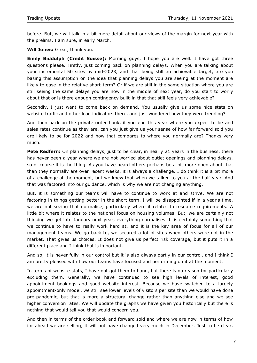before. But, we will talk in a bit more detail about our views of the margin for next year with the prelims, I am sure, in early March.

**Will Jones:** Great, thank you.

**Emily Biddulph (Credit Suisse):** Morning guys, I hope you are well. I have got three questions please. Firstly, just coming back on planning delays. When you are talking about your incremental 50 sites by mid-2023, and that being still an achievable target, are you basing this assumption on the idea that planning delays you are seeing at the moment are likely to ease in the relative short-term? Or if we are still in the same situation where you are still seeing the same delays you are now in the middle of next year, do you start to worry about that or is there enough contingency built-in that that still feels very achievable?

Secondly, I just want to come back on demand. You usually give us some nice stats on website traffic and other lead indicators there, and just wondered how they were trending?

And then back on the private order book, if you end this year where you expect to be and sales rates continue as they are, can you just give us your sense of how far forward sold you are likely to be for 2022 and how that compares to where you normally are? Thanks very much.

**Pete Redfern:** On planning delays, just to be clear, in nearly 21 years in the business, there has never been a year where we are not worried about outlet openings and planning delays, so of course it is the thing. As you have heard others perhaps be a bit more open about that than they normally are over recent weeks, it is always a challenge. I do think it is a bit more of a challenge at the moment, but we knew that when we talked to you at the half-year. And that was factored into our guidance, which is why we are not changing anything.

But, it is something our teams will have to continue to work at and strive. We are not factoring in things getting better in the short term. I will be disappointed if in a year's time, we are not seeing that normalise, particularly where it relates to resource requirements. A little bit where it relates to the national focus on housing volumes. But, we are certainly not thinking we get into January next year, everything normalises. It is certainly something that we continue to have to really work hard at, and it is the key area of focus for all of our management teams. We go back to, we secured a lot of sites when others were not in the market. That gives us choices. It does not give us perfect risk coverage, but it puts it in a different place and I think that is important.

And so, it is never fully in our control but it is also always partly in our control, and I think I am pretty pleased with how our teams have focused and performing on it at the moment.

In terms of website stats, I have not got them to hand, but there is no reason for particularly excluding them. Generally, we have continued to see high levels of interest, good appointment bookings and good website interest. Because we have switched to a largely appointment-only model, we still see lower levels of visitors per site than we would have done pre-pandemic, but that is more a structural change rather than anything else and we see higher conversion rates. We will update the graphs we have given you historically but there is nothing that would tell you that would concern you.

And then in terms of the order book and forward sold and where we are now in terms of how far ahead we are selling, it will not have changed very much in December. Just to be clear,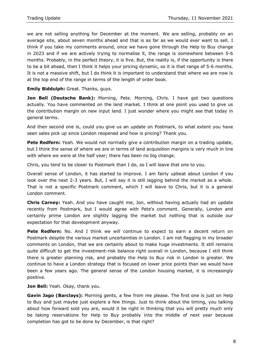we are not selling anything for December at the moment. We are selling, probably on an average site, about seven months ahead and that is as far as we would ever want to sell. I think if you take my comments around, once we have gone through the Help to Buy change in 2023 and if we are actively trying to normalise it, the range is somewhere between 5-6 months. Probably, in the perfect theory, it is five. But, the reality is, if the opportunity is there to be a bit ahead, then I think it helps your pricing dynamic, so it is that range of 5-6 months. It is not a massive shift, but I do think it is important to understand that where we are now is at the top end of the range in terms of the length of order book.

**Emily Biddulph:** Great. Thanks, guys.

**Jon Bell (Deutsche Bank):** Morning, Pete. Morning, Chris. I have got two questions actually. You have commented on the land market. I think at one point you used to give us the contribution margin on new input land. I just wonder where you might see that today in general terms.

And then second one is, could you give us an update on Postmark, to what extent you have seen sales pick up since London reopened and how is pricing? Thank you.

**Pete Redfern:** Yeah. We would not normally give a contribution margin on a trading update, but I think the sense of where we are in terms of land acquisition margins is very much in line with where we were at the half year; there has been no big change.

Chris, you tend to be closer to Postmark than I do, so I will leave that one to you.

Overall sense of London, it has started to improve. I am fairly upbeat about London if you look over the next 2-3 years. But, I will say it is still lagging behind the market as a whole. That is not a specific Postmark comment, which I will leave to Chris, but it is a general London comment.

**Chris Carney:** Yeah. And you have caught me, Jon, without having actually had an update recently from Postmark, but I would agree with Pete's comment. Generally, London and certainly prime London are slightly lagging the market but nothing that is outside our expectation for that development anyway.

**Pete Redfern:** No. And I think we will continue to expect to earn a decent return on Postmark despite the various market uncertainties in London. I am not flagging in my broader comments on London, that we are certainly about to make huge investments. It still remains quite difficult to get the investment-risk balance right overall in London, because I still think there is greater planning risk, and probably the Help to Buy risk in London is greater. We continue to have a London strategy that is focused on lower price points than we would have been a few years ago. The general sense of the London housing market, it is increasingly positive.

**Jon Bell:** Yeah. Okay, thank you.

**Gavin Jago (Barclays):** Morning gents, a few from me please. The first one is just on Help to Buy and just maybe just explore a few things. Just to think about the timing, you talking about how forward sold you are, would it be right in thinking that you will pretty much only be taking reservations for Help to Buy probably into the middle of next year because completion has got to be done by December, is that right?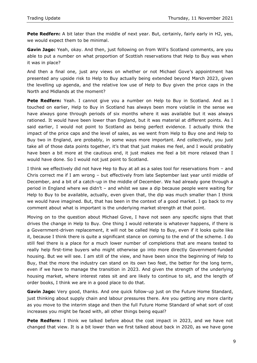**Pete Redfern:** A bit later than the middle of next year. But, certainly, fairly early in H2, yes, we would expect them to be minimal.

**Gavin Jago:** Yeah, okay. And then, just following on from Will's Scotland comments, are you able to put a number on what proportion of Scottish reservations that Help to Buy was when it was in place?

And then a final one, just any views on whether or not Michael Gove's appointment has presented any upside risk to Help to Buy actually being extended beyond March 2023, given the levelling up agenda, and the relative low use of Help to Buy given the price caps in the North and Midlands at the moment?

Pete Redfern: Yeah. I cannot give you a number on Help to Buy in Scotland. And as I touched on earlier, Help to Buy in Scotland has always been more volatile in the sense we have always gone through periods of six months where it was available but it was always rationed. It would have been lower than England, but it was material at different points. As I said earlier, I would not point to Scotland as being perfect evidence. I actually think the impact of the price caps and the level of sales, as we went from Help to Buy one and Help to Buy two in England, are probably, in some ways more important. And collectively, you just take all of those data points together, it's that that just makes me feel, and I would probably have been a bit more at the cautious end, it just makes me feel a bit more relaxed than I would have done. So I would not just point to Scotland.

I think we effectively did not have Hep to Buy at all as a sales tool for reservations from – and Chris correct me if I am wrong – but effectively from late September last year until middle of December, and a bit of a catch-up in the middle of December. We had already gone through a period in England where we didn't – and whilst we saw a dip because people were waiting for Help to Buy to be available, actually, even given that, the dip was much smaller than I think we would have imagined. But, that has been in the context of a good market. I go back to my comment about what is important is the underlying market strength at that point.

Moving on to the question about Michael Gove, I have not seen any specific signs that that drives the change in Help to Buy. One thing I would reiterate is whatever happens, if there is a Government-driven replacement, it will not be called Help to Buy, even if it looks quite like it, because I think there is quite a significant stance on coming to the end of the scheme. I do still feel there is a place for a much lower number of completions that are means tested to really help first-time buyers who might otherwise go into more directly Government-funded housing. But we will see. I am still of the view, and have been since the beginning of Help to Buy, that the more the industry can stand on its own two feet, the better for the long term, even if we have to manage the transition in 2023. And given the strength of the underlying housing market, where interest rates sit and are likely to continue to sit, and the length of order books, I think we are in a good place to do that.

**Gavin Jago:** Very good, thanks. And one quick follow-up just on the Future Home Standard, just thinking about supply chain and labour pressures there. Are you getting any more clarity as you move to the interim stage and then the full Future Home Standard of what sort of cost increases you might be faced with, all other things being equal?

**Pete Redfern:** I think we talked before about the cost impact in 2023, and we have not changed that view. It is a bit lower than we first talked about back in 2020, as we have gone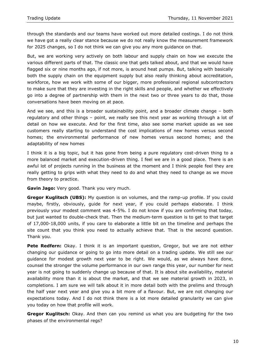through the standards and our teams have worked out more detailed costings. I do not think we have got a really clear stance because we do not really know the measurement framework for 2025 changes, so I do not think we can give you any more guidance on that.

But, we are working very actively on both labour and supply chain on how we execute the various different parts of that. The classic one that gets talked about, and that we would have flagged six or nine months ago, if not more, is around heat pumps. But, talking with basically both the supply chain on the equipment supply but also really thinking about accreditation, workforce, how we work with some of our bigger, more professional regional subcontractors to make sure that they are investing in the right skills and people, and whether we effectively go into a degree of partnership with them in the next two or three years to do that, those conversations have been moving on at pace.

And we see, and this is a broader sustainability point, and a broader climate change – both regulatory and other things – point, we really see this next year as working through a lot of detail on how we execute. And for the first time, also see some market upside as we see customers really starting to understand the cost implications of new homes versus second homes; the environmental performance of new homes versus second homes; and the adaptability of new homes

I think it is a big topic, but it has gone from being a pure regulatory cost-driven thing to a more balanced market and execution-driven thing. I feel we are in a good place. There is an awful lot of projects running in the business at the moment and I think people feel they are really getting to grips with what they need to do and what they need to change as we move from theory to practice.

**Gavin Jago:** Very good. Thank you very much.

**Gregor Kuglitsch (UBS):** My question is on volumes, and the ramp-up profile. If you could maybe, firstly, obviously, guide for next year, if you could perhaps elaborate. I think previously your modest comment was 4-5%. I do not know if you are confirming that today, but just wanted to double-check that. Then the medium-term question is to get to that target of 17,000-18,000 units, if you care to elaborate a little bit on the timeline and perhaps the site count that you think you need to actually achieve that. That is the second question. Thank you.

**Pete Redfern:** Okay. I think it is an important question, Gregor, but we are not either changing our guidance or going to go into more detail on a trading update. We still see our guidance for modest growth next year to be right. We would, as we always have done, counsel the stronger the volume performance in our own range this year, our number for next year is not going to suddenly change up because of that. It is about site availability, material availability more than it is about the market, and that we see material growth in 2023, in completions. I am sure we will talk about it in more detail both with the prelims and through the half year next year and give you a bit more of a flavour. But, we are not changing our expectations today. And I do not think there is a lot more detailed granularity we can give you today on how that profile will work.

**Gregor Kuglitsch:** Okay. And then can you remind us what you are budgeting for the two phases of the environmental regs?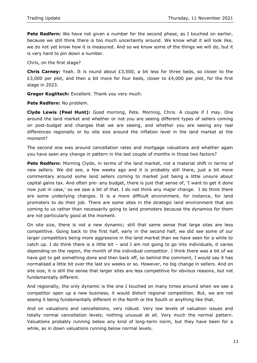**Pete Redfern:** We have not given a number for the second phase, as I touched on earlier, because we still think there is too much uncertainty around. We know what it will look like, we do not yet know how it is measured. And so we know some of the things we will do, but it is very hard to pin down a number.

Chris, on the first stage?

**Chris Carney:** Yeah. It is round about £3,500, a bit less for three beds, so closer to the  $£3,000$  per plot, and then a bit more for four beds, closer to  $£4,000$  per plot, for the first stage in 2023.

**Gregor Kuglitsch:** Excellent. Thank you very much.

**Pete Redfern:** No problem.

**Clyde Lewis (Peel Hunt):** Good morning, Pete. Morning, Chris. A couple if I may. One around the land market and whether or not you are seeing different types of sellers coming on post-budget and changes that we are seeing, and whether you are seeing any real differences regionally or by site size around the inflation level in the land market at the moment?

The second one was around cancellation rates and mortgage valuations and whether again you have seen any change in pattern in the last couple of months in those two factors?

**Pete Redfern:** Morning Clyde, in terms of the land market, not a material shift in terms of new sellers. We did see, a few weeks ago and it is probably still there, just a bit more commentary around some land sellers coming to market just being a little unsure about capital gains tax. And often pre- any budget, there is just that sense of, 'I want to get it done now just in case,' so we saw a bit of that. I do not think any major change. I do think there are some underlying changes. It is a more difficult environment, for instance, for land promoters to do their job. There are some sites in the strategic land environment that are coming to us rather than necessarily going to land promoters because the dynamics for them are not particularly good at the moment.

On site size, there is not a new dynamic; still that same sense that large sites are less competitive. Going back to the first half, early in the second half, we did see some of our larger competitors being more aggressive in the land market than we have seen for a while to catch up. I do think there is a little bit – and I am not going to go into individuals, it varies depending on the region, the month of the individual competitor. I think there was a bit of we have got to get something done and then back off, so behind the comment, I would say it has normalised a little bit over the last six weeks or so. However, no big change in sellers. And on site size, it is still the sense that larger sites are less competitive for obvious reasons, but not fundamentally different.

And regionally, the only dynamic is the one I touched on many times around when we see a competitor open up a new business, it would distort regional competition. But, we are not seeing it being fundamentally different in the North or the South or anything like that.

And on valuations and cancellations, very robust. Very low levels of valuation issues and totally normal cancellation levels; nothing unusual at all. Very much the normal pattern. Valuations probably running below any kind of long-term norm, but they have been for a while, as in down valuations running below normal levels.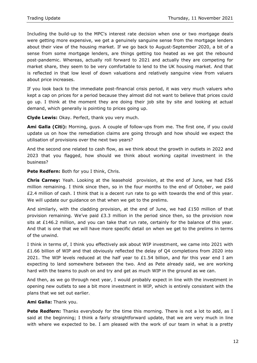Including the build-up to the MPC's interest rate decision when one or two mortgage deals were getting more expensive, we get a genuinely sanguine sense from the mortgage lenders about their view of the housing market. If we go back to August-September 2020, a bit of a sense from some mortgage lenders, are things getting too heated as we got the rebound post-pandemic. Whereas, actually roll forward to 2021 and actually they are competing for market share, they seem to be very comfortable to lend to the UK housing market. And that is reflected in that low level of down valuations and relatively sanguine view from valuers about price increases.

If you look back to the immediate post-financial crisis period, it was very much valuers who kept a cap on prices for a period because they almost did not want to believe that prices could go up. I think at the moment they are doing their job site by site and looking at actual demand, which generally is pointing to prices going up.

**Clyde Lewis:** Okay. Perfect, thank you very much.

**Ami Galla (Citi):** Morning, guys. A couple of follow-ups from me. The first one, if you could update us on how the remediation claims are going through and how should we expect the utilisation of provisions over the next two years?

And the second one related to cash flow, as we think about the growth in outlets in 2022 and 2023 that you flagged, how should we think about working capital investment in the business?

**Pete Redfern:** Both for you I think, Chris.

**Chris Carney:** Yeah. Looking at the leasehold provision, at the end of June, we had £56 million remaining. I think since then, so in the four months to the end of October, we paid £2.4 million of cash. I think that is a decent run rate to go with towards the end of this year. We will update our guidance on that when we get to the prelims.

And similarly, with the cladding provision, at the end of June, we had £150 million of that provision remaining. We've paid £3.3 million in the period since then, so the provision now sits at £146.2 million, and you can take that run rate, certainly for the balance of this year. And that is one that we will have more specific detail on when we get to the prelims in terms of the unwind.

I think in terms of, I think you effectively ask about WIP investment, we came into 2021 with £1.66 billion of WIP and that obviously reflected the delay of Q4 completions from 2020 into 2021. The WIP levels reduced at the half year to  $£1.54$  billion, and for this year end I am expecting to land somewhere between the two. And as Pete already said, we are working hard with the teams to push on and try and get as much WIP in the ground as we can.

And then, as we go through next year, I would probably expect in line with the investment in opening new outlets to see a bit more investment in WIP, which is entirely consistent with the plans that we set out earlier.

**Ami Galla:** Thank you.

**Pete Redfern:** Thanks everybody for the time this morning. There is not a lot to add, as I said at the beginning; I think a fairly straightforward update, that we are very much in line with where we expected to be. I am pleased with the work of our team in what is a pretty